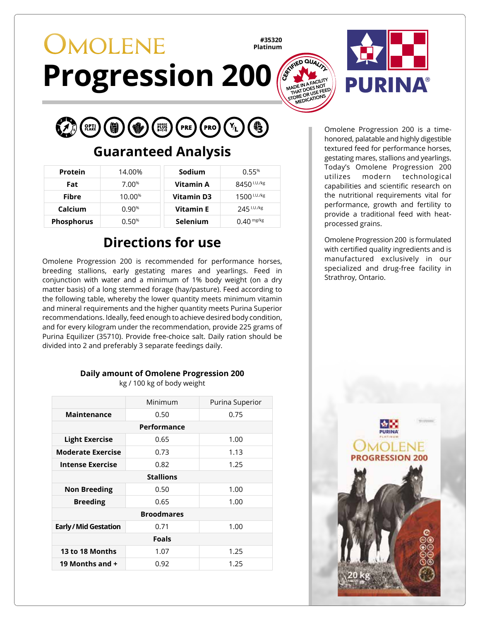## **OMOLENE #35320 Platinum Progression 200**



### **Guaranteed Analysis**

| Protein           | 14.00%   | Sodium            | 0.55%                   |
|-------------------|----------|-------------------|-------------------------|
| Fat               | $7.00\%$ | Vitamin A         | 8450 <sup>I.U./kg</sup> |
| <b>Fibre</b>      | 10.00%   | <b>Vitamin D3</b> | 1500 <sup>1.U./kg</sup> |
| Calcium           | 0.90%    | Vitamin E         | 245 I.U./kg             |
| <b>Phosphorus</b> | 0.50%    | <b>Selenium</b>   | $0.40$ mg/kg            |

## **Directions for use**

Omolene Progression 200 is recommended for performance horses, breeding stallions, early gestating mares and yearlings. Feed in conjunction with water and a minimum of 1% body weight (on a dry matter basis) of a long stemmed forage (hay/pasture). Feed according to the following table, whereby the lower quantity meets minimum vitamin and mineral requirements and the higher quantity meets Purina Superior recommendations. Ideally, feed enough to achieve desired body condition, and for every kilogram under the recommendation, provide 225 grams of Purina Equilizer (35710). Provide free-choice salt. Daily ration should be divided into 2 and preferably 3 separate feedings daily.

### **Daily amount of Omolene Progression 200** kg / 100 kg of body weight

|                            | Minimum | Purina Superior |  |  |
|----------------------------|---------|-----------------|--|--|
| Maintenance                | 0.50    | 0.75            |  |  |
| Performance                |         |                 |  |  |
| <b>Light Exercise</b>      | 0.65    | 1.00            |  |  |
| <b>Moderate Exercise</b>   | 0.73    | 1.13            |  |  |
| <b>Intense Exercise</b>    | 0.82    | 1.25            |  |  |
| <b>Stallions</b>           |         |                 |  |  |
| <b>Non Breeding</b>        | 0.50    | 1.00            |  |  |
| <b>Breeding</b>            | 0.65    | 1.00            |  |  |
| <b>Broodmares</b>          |         |                 |  |  |
| <b>Early/Mid Gestation</b> | 0.71    | 1.00            |  |  |
| <b>Foals</b>               |         |                 |  |  |
| 13 to 18 Months            | 1.07    | 1.25            |  |  |
| 19 Months and +            | 0.92    | 1.25            |  |  |

Omolene Progression 200 is a timehonored, palatable and highly digestible textured feed for performance horses, gestating mares, stallions and yearlings. Today's Omolene Progression 200 utilizes modern technological capabilities and scientific research on the nutritional requirements vital for performance, growth and fertility to provide a traditional feed with heatprocessed grains.

Omolene Progression 200 is formulated with certified quality ingredients and is manufactured exclusively in our specialized and drug-free facility in Strathroy, Ontario.